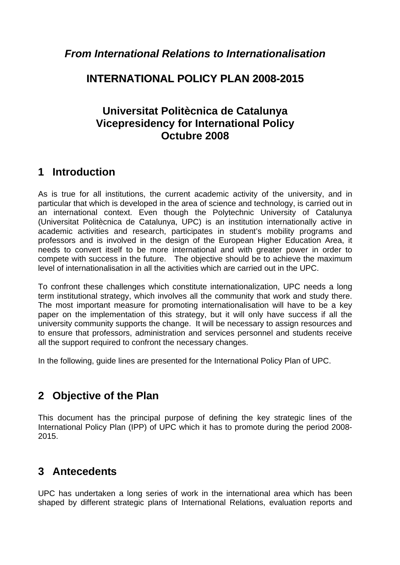### **INTERNATIONAL POLICY PLAN 2008-2015**

### **Universitat Politècnica de Catalunya Vicepresidency for International Policy Octubre 2008**

## **1 Introduction**

As is true for all institutions, the current academic activity of the university, and in particular that which is developed in the area of science and technology, is carried out in an international context. Even though the Polytechnic University of Catalunya (Universitat Politècnica de Catalunya, UPC) is an institution internationally active in academic activities and research, participates in student's mobility programs and professors and is involved in the design of the European Higher Education Area, it needs to convert itself to be more international and with greater power in order to compete with success in the future. The objective should be to achieve the maximum level of internationalisation in all the activities which are carried out in the UPC.

To confront these challenges which constitute internationalization, UPC needs a long term institutional strategy, which involves all the community that work and study there. The most important measure for promoting internationalisation will have to be a key paper on the implementation of this strategy, but it will only have success if all the university community supports the change. It will be necessary to assign resources and to ensure that professors, administration and services personnel and students receive all the support required to confront the necessary changes.

In the following, guide lines are presented for the International Policy Plan of UPC.

# **2 Objective of the Plan**

This document has the principal purpose of defining the key strategic lines of the International Policy Plan (IPP) of UPC which it has to promote during the period 2008- 2015.

# **3 Antecedents**

UPC has undertaken a long series of work in the international area which has been shaped by different strategic plans of International Relations, evaluation reports and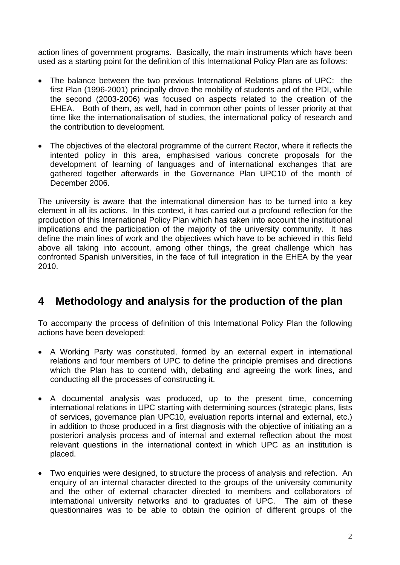action lines of government programs. Basically, the main instruments which have been used as a starting point for the definition of this International Policy Plan are as follows:

- The balance between the two previous International Relations plans of UPC: the first Plan (1996-2001) principally drove the mobility of students and of the PDI, while the second (2003-2006) was focused on aspects related to the creation of the EHEA. Both of them, as well, had in common other points of lesser priority at that time like the internationalisation of studies, the international policy of research and the contribution to development.
- The objectives of the electoral programme of the current Rector, where it reflects the intented policy in this area, emphasised various concrete proposals for the development of learning of languages and of international exchanges that are gathered together afterwards in the Governance Plan UPC10 of the month of December 2006.

The university is aware that the international dimension has to be turned into a key element in all its actions. In this context, it has carried out a profound reflection for the production of this International Policy Plan which has taken into account the institutional implications and the participation of the majority of the university community. It has define the main lines of work and the objectives which have to be achieved in this field above all taking into account, among other things, the great challenge which has confronted Spanish universities, in the face of full integration in the EHEA by the year 2010.

## **4 Methodology and analysis for the production of the plan**

To accompany the process of definition of this International Policy Plan the following actions have been developed:

- A Working Party was constituted, formed by an external expert in international relations and four members of UPC to define the principle premises and directions which the Plan has to contend with, debating and agreeing the work lines, and conducting all the processes of constructing it.
- A documental analysis was produced, up to the present time, concerning international relations in UPC starting with determining sources (strategic plans, lists of services, governance plan UPC10, evaluation reports internal and external, etc.) in addition to those produced in a first diagnosis with the objective of initiating an a posteriori analysis process and of internal and external reflection about the most relevant questions in the international context in which UPC as an institution is placed.
- Two enquiries were designed, to structure the process of analysis and refection. An enquiry of an internal character directed to the groups of the university community and the other of external character directed to members and collaborators of international university networks and to graduates of UPC. The aim of these questionnaires was to be able to obtain the opinion of different groups of the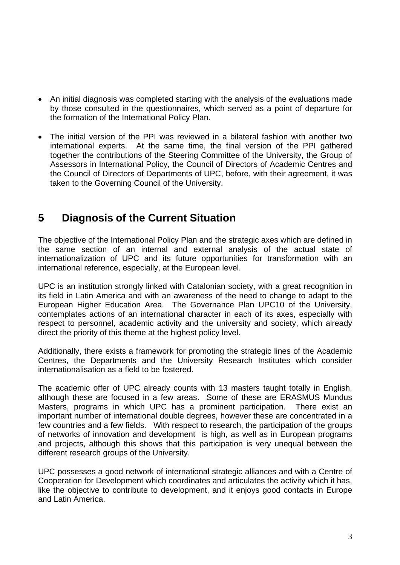- An initial diagnosis was completed starting with the analysis of the evaluations made by those consulted in the questionnaires, which served as a point of departure for the formation of the International Policy Plan.
- The initial version of the PPI was reviewed in a bilateral fashion with another two international experts. At the same time, the final version of the PPI gathered together the contributions of the Steering Committee of the University, the Group of Assessors in International Policy, the Council of Directors of Academic Centres and the Council of Directors of Departments of UPC, before, with their agreement, it was taken to the Governing Council of the University.

## **5 Diagnosis of the Current Situation**

The objective of the International Policy Plan and the strategic axes which are defined in the same section of an internal and external analysis of the actual state of internationalization of UPC and its future opportunities for transformation with an international reference, especially, at the European level.

UPC is an institution strongly linked with Catalonian society, with a great recognition in its field in Latin America and with an awareness of the need to change to adapt to the European Higher Education Area. The Governance Plan UPC10 of the University, contemplates actions of an international character in each of its axes, especially with respect to personnel, academic activity and the university and society, which already direct the priority of this theme at the highest policy level.

Additionally, there exists a framework for promoting the strategic lines of the Academic Centres, the Departments and the University Research Institutes which consider internationalisation as a field to be fostered.

The academic offer of UPC already counts with 13 masters taught totally in English, although these are focused in a few areas. Some of these are ERASMUS Mundus Masters, programs in which UPC has a prominent participation. There exist an important number of international double degrees, however these are concentrated in a few countries and a few fields. With respect to research, the participation of the groups of networks of innovation and development is high, as well as in European programs and projects, although this shows that this participation is very unequal between the different research groups of the University.

UPC possesses a good network of international strategic alliances and with a Centre of Cooperation for Development which coordinates and articulates the activity which it has, like the objective to contribute to development, and it enjoys good contacts in Europe and Latin America.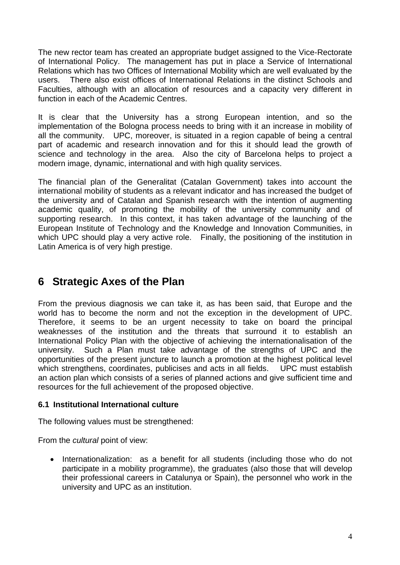The new rector team has created an appropriate budget assigned to the Vice-Rectorate of International Policy. The management has put in place a Service of International Relations which has two Offices of International Mobility which are well evaluated by the users. There also exist offices of International Relations in the distinct Schools and Faculties, although with an allocation of resources and a capacity very different in function in each of the Academic Centres.

It is clear that the University has a strong European intention, and so the implementation of the Bologna process needs to bring with it an increase in mobility of all the community. UPC, moreover, is situated in a region capable of being a central part of academic and research innovation and for this it should lead the growth of science and technology in the area. Also the city of Barcelona helps to project a modern image, dynamic, international and with high quality services.

The financial plan of the Generalitat (Catalan Government) takes into account the international mobility of students as a relevant indicator and has increased the budget of the university and of Catalan and Spanish research with the intention of augmenting academic quality, of promoting the mobility of the university community and of supporting research. In this context, it has taken advantage of the launching of the European Institute of Technology and the Knowledge and Innovation Communities, in which UPC should play a very active role. Finally, the positioning of the institution in Latin America is of very high prestige.

# **6 Strategic Axes of the Plan**

From the previous diagnosis we can take it, as has been said, that Europe and the world has to become the norm and not the exception in the development of UPC. Therefore, it seems to be an urgent necessity to take on board the principal weaknesses of the institution and the threats that surround it to establish an International Policy Plan with the objective of achieving the internationalisation of the university. Such a Plan must take advantage of the strengths of UPC and the opportunities of the present juncture to launch a promotion at the highest political level which strengthens, coordinates, publicises and acts in all fields. UPC must establish an action plan which consists of a series of planned actions and give sufficient time and resources for the full achievement of the proposed objective.

#### **6.1 Institutional International culture**

The following values must be strengthened:

From the *cultural* point of view:

• Internationalization: as a benefit for all students (including those who do not participate in a mobility programme), the graduates (also those that will develop their professional careers in Catalunya or Spain), the personnel who work in the university and UPC as an institution.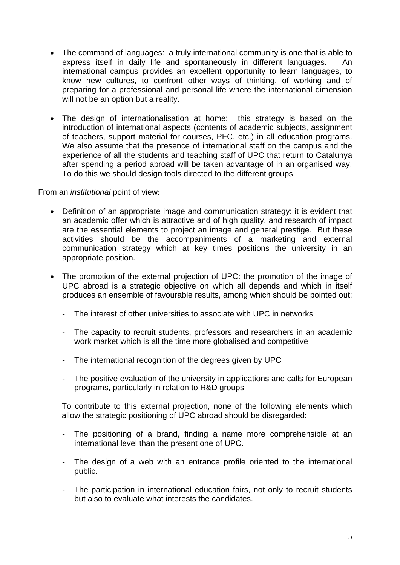- The command of languages: a truly international community is one that is able to express itself in daily life and spontaneously in different languages. An international campus provides an excellent opportunity to learn languages, to know new cultures, to confront other ways of thinking, of working and of preparing for a professional and personal life where the international dimension will not be an option but a reality.
- The design of internationalisation at home: this strategy is based on the introduction of international aspects (contents of academic subjects, assignment of teachers, support material for courses, PFC, etc.) in all education programs. We also assume that the presence of international staff on the campus and the experience of all the students and teaching staff of UPC that return to Catalunya after spending a period abroad will be taken advantage of in an organised way. To do this we should design tools directed to the different groups.

From an *institutional* point of view:

- Definition of an appropriate image and communication strategy: it is evident that an academic offer which is attractive and of high quality, and research of impact are the essential elements to project an image and general prestige. But these activities should be the accompaniments of a marketing and external communication strategy which at key times positions the university in an appropriate position.
- The promotion of the external projection of UPC: the promotion of the image of UPC abroad is a strategic objective on which all depends and which in itself produces an ensemble of favourable results, among which should be pointed out:
	- The interest of other universities to associate with UPC in networks
	- The capacity to recruit students, professors and researchers in an academic work market which is all the time more globalised and competitive
	- The international recognition of the degrees given by UPC
	- The positive evaluation of the university in applications and calls for European programs, particularly in relation to R&D groups

To contribute to this external projection, none of the following elements which allow the strategic positioning of UPC abroad should be disregarded:

- The positioning of a brand, finding a name more comprehensible at an international level than the present one of UPC.
- The design of a web with an entrance profile oriented to the international public.
- The participation in international education fairs, not only to recruit students but also to evaluate what interests the candidates.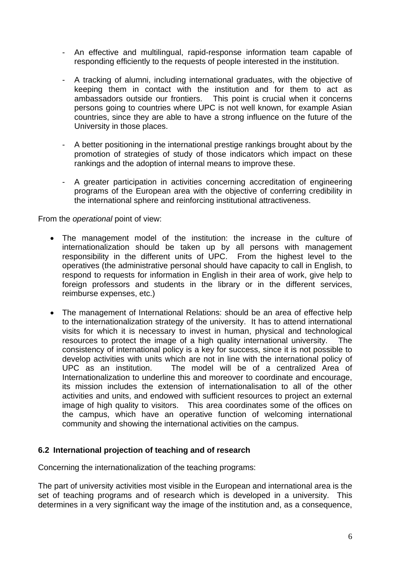- An effective and multilingual, rapid-response information team capable of responding efficiently to the requests of people interested in the institution.
- A tracking of alumni, including international graduates, with the objective of keeping them in contact with the institution and for them to act as ambassadors outside our frontiers. This point is crucial when it concerns persons going to countries where UPC is not well known, for example Asian countries, since they are able to have a strong influence on the future of the University in those places.
- A better positioning in the international prestige rankings brought about by the promotion of strategies of study of those indicators which impact on these rankings and the adoption of internal means to improve these.
- A greater participation in activities concerning accreditation of engineering programs of the European area with the objective of conferring credibility in the international sphere and reinforcing institutional attractiveness.

#### From the *operational* point of view:

- The management model of the institution: the increase in the culture of internationalization should be taken up by all persons with management responsibility in the different units of UPC. From the highest level to the operatives (the administrative personal should have capacity to call in English, to respond to requests for information in English in their area of work, give help to foreign professors and students in the library or in the different services, reimburse expenses, etc.)
- The management of International Relations: should be an area of effective help to the internationalization strategy of the university. It has to attend international visits for which it is necessary to invest in human, physical and technological resources to protect the image of a high quality international university. The consistency of international policy is a key for success, since it is not possible to develop activities with units which are not in line with the international policy of UPC as an institution. The model will be of a centralized Area of Internationalization to underline this and moreover to coordinate and encourage, its mission includes the extension of internationalisation to all of the other activities and units, and endowed with sufficient resources to project an external image of high quality to visitors. This area coordinates some of the offices on the campus, which have an operative function of welcoming international community and showing the international activities on the campus.

#### **6.2 International projection of teaching and of research**

Concerning the internationalization of the teaching programs:

The part of university activities most visible in the European and international area is the set of teaching programs and of research which is developed in a university. This determines in a very significant way the image of the institution and, as a consequence,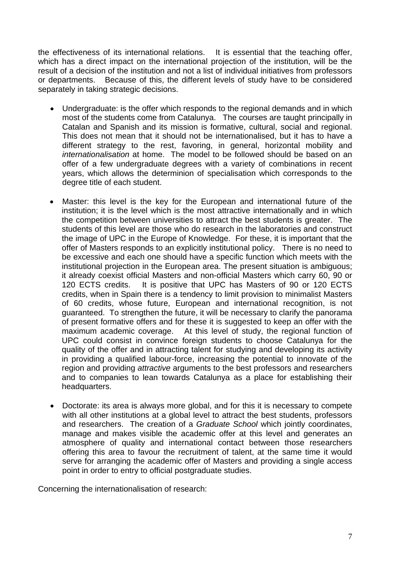the effectiveness of its international relations. It is essential that the teaching offer, which has a direct impact on the international projection of the institution, will be the result of a decision of the institution and not a list of individual initiatives from professors or departments. Because of this, the different levels of study have to be considered separately in taking strategic decisions.

- Undergraduate: is the offer which responds to the regional demands and in which most of the students come from Catalunya. The courses are taught principally in Catalan and Spanish and its mission is formative, cultural, social and regional. This does not mean that it should not be internationalised, but it has to have a different strategy to the rest, favoring, in general, horizontal mobility and *internationalisation* at home. The model to be followed should be based on an offer of a few undergraduate degrees with a variety of combinations in recent years, which allows the determinion of specialisation which corresponds to the degree title of each student.
- Master: this level is the key for the European and international future of the institution; it is the level which is the most attractive internationally and in which the competition between universities to attract the best students is greater. The students of this level are those who do research in the laboratories and construct the image of UPC in the Europe of Knowledge. For these, it is important that the offer of Masters responds to an explicitly institutional policy. There is no need to be excessive and each one should have a specific function which meets with the institutional projection in the European area. The present situation is ambiguous; it already coexist official Masters and non-official Masters which carry 60, 90 or 120 ECTS credits. It is positive that UPC has Masters of 90 or 120 ECTS credits, when in Spain there is a tendency to limit provision to minimalist Masters of 60 credits, whose future, European and international recognition, is not guaranteed. To strengthen the future, it will be necessary to clarify the panorama of present formative offers and for these it is suggested to keep an offer with the maximum academic coverage. At this level of study, the regional function of UPC could consist in convince foreign students to choose Catalunya for the quality of the offer and in attracting talent for studying and developing its activity in providing a qualified labour-force, increasing the potential to innovate of the region and providing *attractive* arguments to the best professors and researchers and to companies to lean towards Catalunya as a place for establishing their headquarters.
- Doctorate: its area is always more global, and for this it is necessary to compete with all other institutions at a global level to attract the best students, professors and researchers. The creation of a *Graduate School* which jointly coordinates, manage and makes visible the academic offer at this level and generates an atmosphere of quality and international contact between those researchers offering this area to favour the recruitment of talent, at the same time it would serve for arranging the academic offer of Masters and providing a single access point in order to entry to official postgraduate studies.

Concerning the internationalisation of research: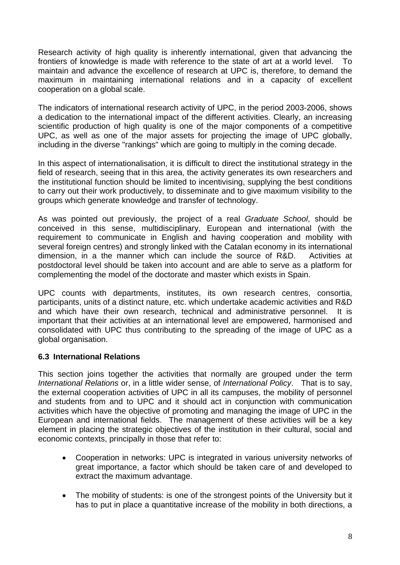Research activity of high quality is inherently international, given that advancing the frontiers of knowledge is made with reference to the state of art at a world level. To maintain and advance the excellence of research at UPC is, therefore, to demand the maximum in maintaining international relations and in a capacity of excellent cooperation on a global scale.

The indicators of international research activity of UPC, in the period 2003-2006, shows a dedication to the international impact of the different activities. Clearly, an increasing scientific production of high quality is one of the major components of a competitive UPC, as well as one of the major assets for projecting the image of UPC globally, including in the diverse "rankings" which are going to multiply in the coming decade.

In this aspect of internationalisation, it is difficult to direct the institutional strategy in the field of research, seeing that in this area, the activity generates its own researchers and the institutional function should be limited to incentivising, supplying the best conditions to carry out their work productively, to disseminate and to give maximum visibility to the groups which generate knowledge and transfer of technology.

As was pointed out previously, the project of a real *Graduate School*, should be conceived in this sense, multidisciplinary, European and international (with the requirement to communicate in English and having cooperation and mobility with several foreign centres) and strongly linked with the Catalan economy in its international dimension, in a the manner which can include the source of R&D. Activities at postdoctoral level should be taken into account and are able to serve as a platform for complementing the model of the doctorate and master which exists in Spain.

UPC counts with departments, institutes, its own research centres, consortia, participants, units of a distinct nature, etc. which undertake academic activities and R&D and which have their own research, technical and administrative personnel. It is important that their activities at an international level are empowered, harmonised and consolidated with UPC thus contributing to the spreading of the image of UPC as a global organisation.

#### **6.3 International Relations**

This section joins together the activities that normally are grouped under the term *International Relations* or, in a little wider sense, of *International Policy*. That is to say, the external cooperation activities of UPC in all its campuses, the mobility of personnel and students from and to UPC and it should act in conjunction with communication activities which have the objective of promoting and managing the image of UPC in the European and international fields. The management of these activities will be a key element in placing the strategic objectives of the institution in their cultural, social and economic contexts, principally in those that refer to:

- Cooperation in networks: UPC is integrated in various university networks of great importance, a factor which should be taken care of and developed to extract the maximum advantage.
- The mobility of students: is one of the strongest points of the University but it has to put in place a quantitative increase of the mobility in both directions, a